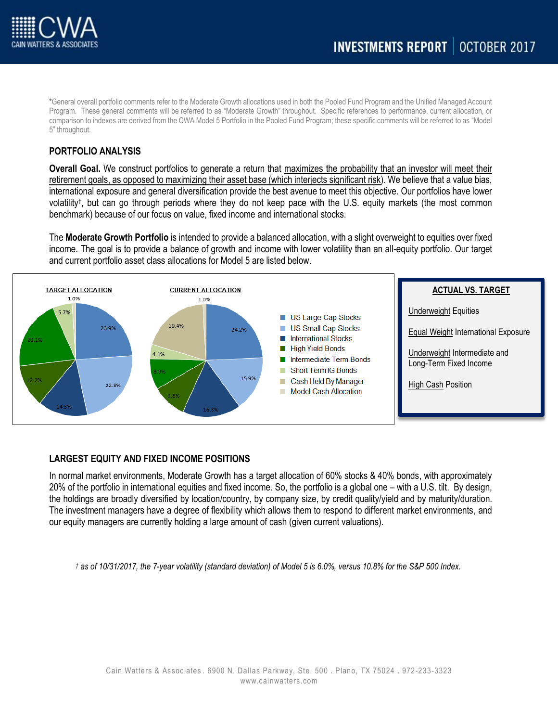

\*General overall portfolio comments refer to the Moderate Growth allocations used in both the Pooled Fund Program and the Unified Managed Account Program. These general comments will be referred to as "Moderate Growth" throughout. Specific references to performance, current allocation, or comparison to indexes are derived from the CWA Model 5 Portfolio in the Pooled Fund Program; these specific comments will be referred to as "Model 5" throughout.

# **PORTFOLIO ANALYSIS**

**Overall Goal.** We construct portfolios to generate a return that maximizes the probability that an investor will meet their retirement goals, as opposed to maximizing their asset base (which interjects significant risk). We believe that a value bias, international exposure and general diversification provide the best avenue to meet this objective. Our portfolios have lower volatility† , but can go through periods where they do not keep pace with the U.S. equity markets (the most common benchmark) because of our focus on value, fixed income and international stocks.

The **Moderate Growth Portfolio** is intended to provide a balanced allocation, with a slight overweight to equities over fixed income. The goal is to provide a balance of growth and income with lower volatility than an all-equity portfolio. Our target and current portfolio asset class allocations for Model 5 are listed below.



## **LARGEST EQUITY AND FIXED INCOME POSITIONS**

In normal market environments, Moderate Growth has a target allocation of 60% stocks & 40% bonds, with approximately 20% of the portfolio in international equities and fixed income. So, the portfolio is a global one – with a U.S. tilt. By design, the holdings are broadly diversified by location/country, by company size, by credit quality/yield and by maturity/duration. The investment managers have a degree of flexibility which allows them to respond to different market environments, and our equity managers are currently holding a large amount of cash (given current valuations).

*† as of 10/31/2017, the 7-year volatility (standard deviation) of Model 5 is 6.0%, versus 10.8% for the S&P 500 Index.*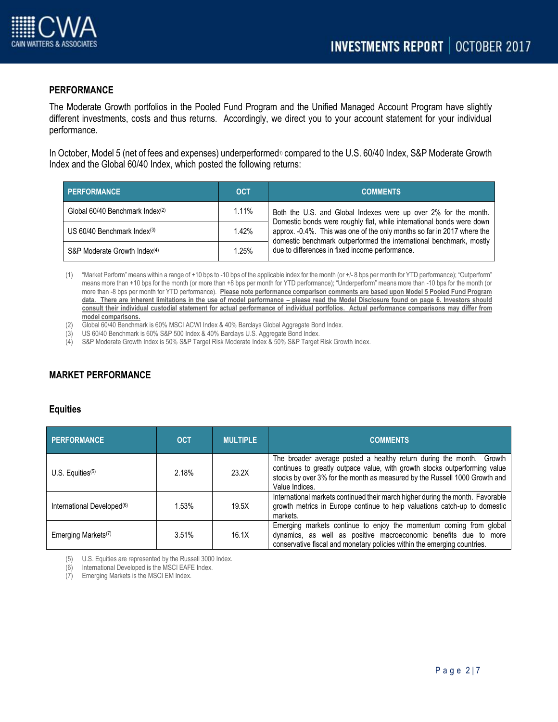

# **PERFORMANCE**

The Moderate Growth portfolios in the Pooled Fund Program and the Unified Managed Account Program have slightly different investments, costs and thus returns. Accordingly, we direct you to your account statement for your individual performance.

In October, Model 5 (net of fees and expenses) underperformed<sup>1</sup> compared to the U.S. 60/40 Index, S&P Moderate Growth Index and the Global 60/40 Index, which posted the following returns:

| <b>PERFORMANCE</b>                        | <b>OCT</b> | <b>COMMENTS</b>                                                                                                                                                                                                                                                                                                                               |
|-------------------------------------------|------------|-----------------------------------------------------------------------------------------------------------------------------------------------------------------------------------------------------------------------------------------------------------------------------------------------------------------------------------------------|
| Global 60/40 Benchmark Index(2)           | $1.11\%$   | Both the U.S. and Global Indexes were up over 2% for the month.<br>Domestic bonds were roughly flat, while international bonds were down<br>approx. -0.4%. This was one of the only months so far in 2017 where the<br>domestic benchmark outperformed the international benchmark, mostly<br>due to differences in fixed income performance. |
| US $60/40$ Benchmark Index <sup>(3)</sup> | 1.42%      |                                                                                                                                                                                                                                                                                                                                               |
| S&P Moderate Growth Index <sup>(4)</sup>  | 1.25%      |                                                                                                                                                                                                                                                                                                                                               |

(1) "Market Perform" means within a range of +10 bps to -10 bps of the applicable index for the month (or +/- 8 bps per month for YTD performance); "Outperform" means more than +10 bps for the month (or more than +8 bps per month for YTD performance); "Underperform" means more than -10 bps for the month (or more than -8 bps per month for YTD performance). **Please note performance comparison comments are based upon Model 5 Pooled Fund Program**  data. There are inherent limitations in the use of model performance – please read the Model Disclosure found on page 6. Investors should **consult their individual custodial statement for actual performance of individual portfolios. Actual performance comparisons may differ from model comparisons.** 

(2) Global 60/40 Benchmark is 60% MSCI ACWI Index & 40% Barclays Global Aggregate Bond Index.

(3) US 60/40 Benchmark is 60% S&P 500 Index & 40% Barclays U.S. Aggregate Bond Index.

(4) S&P Moderate Growth Index is 50% S&P Target Risk Moderate Index & 50% S&P Target Risk Growth Index.

# **MARKET PERFORMANCE**

### **Equities**

| <b>PERFORMANCE</b>                     | <b>OCT</b> | <b>MULTIPLE</b> | <b>COMMENTS</b>                                                                                                                                                                                                                                       |
|----------------------------------------|------------|-----------------|-------------------------------------------------------------------------------------------------------------------------------------------------------------------------------------------------------------------------------------------------------|
| U.S. Equities $(5)$                    | 2.18%      | 23.2X           | The broader average posted a healthy return during the month.<br>Growth<br>continues to greatly outpace value, with growth stocks outperforming value<br>stocks by over 3% for the month as measured by the Russell 1000 Growth and<br>Value Indices. |
| International Developed <sup>(6)</sup> | 1.53%      | 19.5X           | International markets continued their march higher during the month. Favorable<br>growth metrics in Europe continue to help valuations catch-up to domestic<br>markets.                                                                               |
| Emerging Markets <sup>(7)</sup>        | 3.51%      | 16.1X           | Emerging markets continue to enjoy the momentum coming from global<br>dynamics, as well as positive macroeconomic benefits due to more<br>conservative fiscal and monetary policies within the emerging countries.                                    |

(5) U.S. Equities are represented by the Russell 3000 Index.

(6) International Developed is the MSCI EAFE Index.

(7) Emerging Markets is the MSCI EM Index.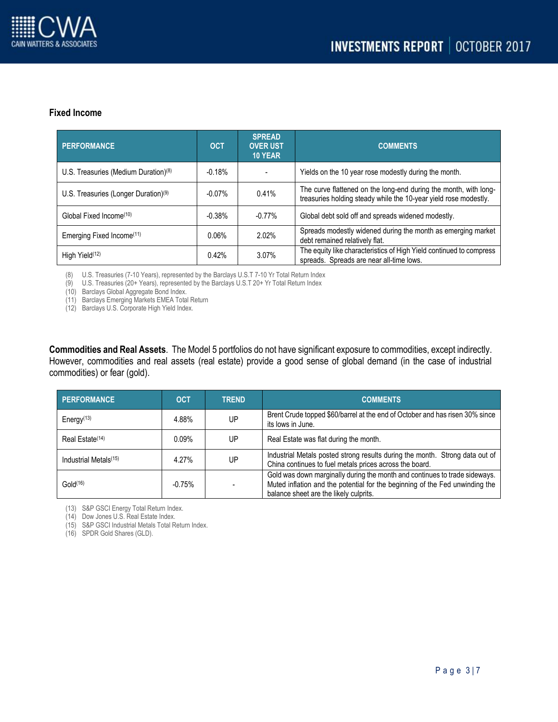

## **Fixed Income**

| PERFORMANCE                                      | <b>OCT</b> | <b>SPREAD</b><br><b>OVER UST</b><br>10 YEAR | <b>COMMENTS</b>                                                                                                                      |
|--------------------------------------------------|------------|---------------------------------------------|--------------------------------------------------------------------------------------------------------------------------------------|
| U.S. Treasuries (Medium Duration) $(8)$          | $-0.18%$   |                                             | Yields on the 10 year rose modestly during the month.                                                                                |
| U.S. Treasuries (Longer Duration) <sup>(9)</sup> | $-0.07\%$  | 0.41%                                       | The curve flattened on the long-end during the month, with long-<br>treasuries holding steady while the 10-year yield rose modestly. |
| Global Fixed Income <sup>(10)</sup>              | $-0.38%$   | $-0.77\%$                                   | Global debt sold off and spreads widened modestly.                                                                                   |
| Emerging Fixed Income <sup>(11)</sup>            | 0.06%      | 2.02%                                       | Spreads modestly widened during the month as emerging market<br>debt remained relatively flat.                                       |
| High Yield <sup>(12)</sup>                       | 0.42%      | 3.07%                                       | The equity like characteristics of High Yield continued to compress<br>spreads. Spreads are near all-time lows.                      |

(8) U.S. Treasuries (7-10 Years), represented by the Barclays U.S.T 7-10 Yr Total Return Index

(9) U.S. Treasuries (20+ Years), represented by the Barclays U.S.T 20+ Yr Total Return Index

(10) Barclays Global Aggregate Bond Index.

(11) Barclays Emerging Markets EMEA Total Return

(12) Barclays U.S. Corporate High Yield Index.

**Commodities and Real Assets**. The Model 5 portfolios do not have significant exposure to commodities, except indirectly. However, commodities and real assets (real estate) provide a good sense of global demand (in the case of industrial commodities) or fear (gold).

| <b>PERFORMANCE</b>                  | <b>OCT</b> | <b>TREND</b> | <b>COMMENTS</b>                                                                                                                                                                                      |
|-------------------------------------|------------|--------------|------------------------------------------------------------------------------------------------------------------------------------------------------------------------------------------------------|
| Energy <sup><math>(13)</math></sup> | 4.88%      | UP           | Brent Crude topped \$60/barrel at the end of October and has risen 30% since<br>its lows in June.                                                                                                    |
| Real Estate <sup>(14)</sup>         | $0.09\%$   | UР           | Real Estate was flat during the month.                                                                                                                                                               |
| Industrial Metals <sup>(15)</sup>   | 4.27%      | UP           | Industrial Metals posted strong results during the month. Strong data out of<br>China continues to fuel metals prices across the board.                                                              |
| Gold <sup>(16)</sup>                | $-0.75%$   |              | Gold was down marginally during the month and continues to trade sideways.<br>Muted inflation and the potential for the beginning of the Fed unwinding the<br>balance sheet are the likely culprits. |

(13) S&P GSCI Energy Total Return Index.

(14) Dow Jones U.S. Real Estate Index.

(15) S&P GSCI Industrial Metals Total Return Index.

(16) SPDR Gold Shares (GLD).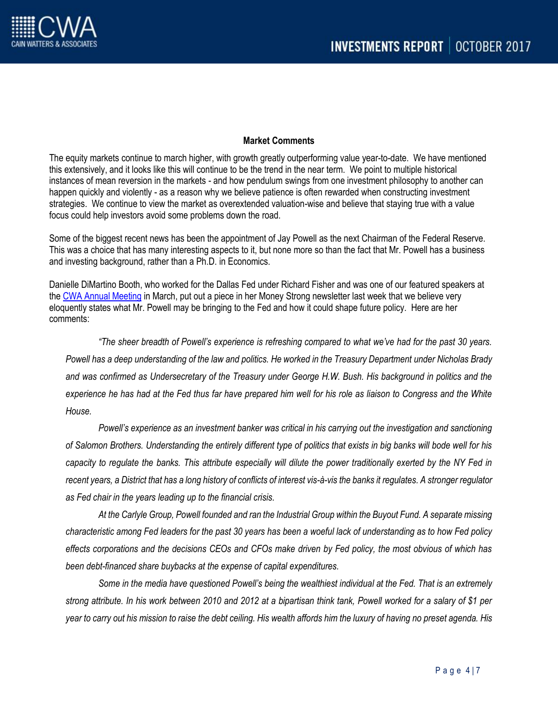

### **Market Comments**

The equity markets continue to march higher, with growth greatly outperforming value year-to-date. We have mentioned this extensively, and it looks like this will continue to be the trend in the near term. We point to multiple historical instances of mean reversion in the markets - and how pendulum swings from one investment philosophy to another can happen quickly and violently - as a reason why we believe patience is often rewarded when constructing investment strategies. We continue to view the market as overextended valuation-wise and believe that staying true with a value focus could help investors avoid some problems down the road.

Some of the biggest recent news has been the appointment of Jay Powell as the next Chairman of the Federal Reserve. This was a choice that has many interesting aspects to it, but none more so than the fact that Mr. Powell has a business and investing background, rather than a Ph.D. in Economics.

Danielle DiMartino Booth, who worked for the Dallas Fed under Richard Fisher and was one of our featured speakers at the [CWA Annual Meeting](http://www.cainwatters.com/annual-meeting/) in March, put out a piece in her Money Strong newsletter last week that we believe very eloquently states what Mr. Powell may be bringing to the Fed and how it could shape future policy. Here are her comments:

*"The sheer breadth of Powell's experience is refreshing compared to what we've had for the past 30 years. Powell has a deep understanding of the law and politics. He worked in the Treasury Department under Nicholas Brady and was confirmed as Undersecretary of the Treasury under George H.W. Bush. His background in politics and the experience he has had at the Fed thus far have prepared him well for his role as liaison to Congress and the White House.*

*Powell's experience as an investment banker was critical in his carrying out the investigation and sanctioning of Salomon Brothers. Understanding the entirely different type of politics that exists in big banks will bode well for his capacity to regulate the banks. This attribute especially will dilute the power traditionally exerted by the NY Fed in recent years, a District that has a long history of conflicts of interest vis-à-vis the banks it regulates. A stronger regulator as Fed chair in the years leading up to the financial crisis.*

*At the Carlyle Group, Powell founded and ran the Industrial Group within the Buyout Fund. A separate missing characteristic among Fed leaders for the past 30 years has been a woeful lack of understanding as to how Fed policy effects corporations and the decisions CEOs and CFOs make driven by Fed policy, the most obvious of which has been debt-financed share buybacks at the expense of capital expenditures.*

*Some in the media have questioned Powell's being the wealthiest individual at the Fed. That is an extremely strong attribute. In his work between 2010 and 2012 at a bipartisan think tank, Powell worked for a salary of \$1 per year to carry out his mission to raise the debt ceiling. His wealth affords him the luxury of having no preset agenda. His*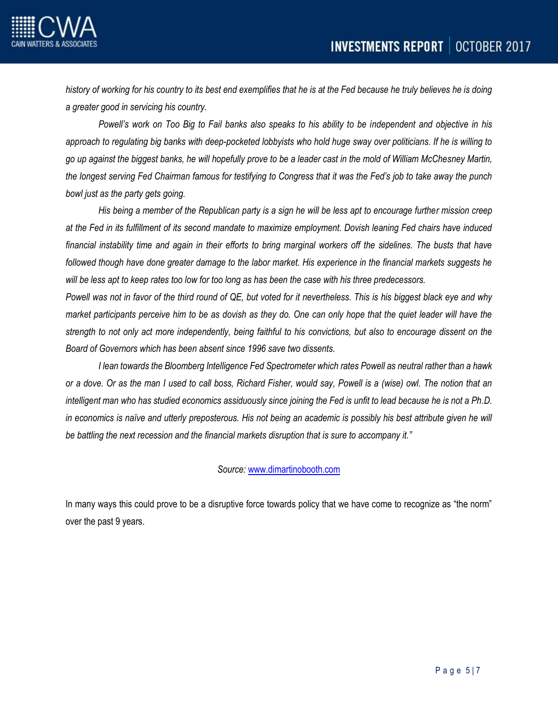

*history of working for his country to its best end exemplifies that he is at the Fed because he truly believes he is doing a greater good in servicing his country.*

*Powell's work on Too Big to Fail banks also speaks to his ability to be independent and objective in his approach to regulating big banks with deep-pocketed lobbyists who hold huge sway over politicians. If he is willing to go up against the biggest banks, he will hopefully prove to be a leader cast in the mold of William McChesney Martin, the longest serving Fed Chairman famous for testifying to Congress that it was the Fed's job to take away the punch bowl just as the party gets going.*

*His being a member of the Republican party is a sign he will be less apt to encourage further mission creep at the Fed in its fulfillment of its second mandate to maximize employment. Dovish leaning Fed chairs have induced*  financial instability time and again in their efforts to bring marginal workers off the sidelines. The busts that have *followed though have done greater damage to the labor market. His experience in the financial markets suggests he will be less apt to keep rates too low for too long as has been the case with his three predecessors.*

*Powell was not in favor of the third round of QE, but voted for it nevertheless. This is his biggest black eye and why market participants perceive him to be as dovish as they do. One can only hope that the quiet leader will have the strength to not only act more independently, being faithful to his convictions, but also to encourage dissent on the Board of Governors which has been absent since 1996 save two dissents.*

*I lean towards the Bloomberg Intelligence Fed Spectrometer which rates Powell as neutral rather than a hawk or a dove. Or as the man I used to call boss, Richard Fisher, would say, Powell is a (wise) owl. The notion that an intelligent man who has studied economics assiduously since joining the Fed is unfit to lead because he is not a Ph.D.* in economics is naïve and utterly preposterous. His not being an academic is possibly his best attribute given he will *be battling the next recession and the financial markets disruption that is sure to accompany it."*

## *Source:* [www.dimartinobooth.com](http://www.dimartinobooth.com/)

In many ways this could prove to be a disruptive force towards policy that we have come to recognize as "the norm" over the past 9 years.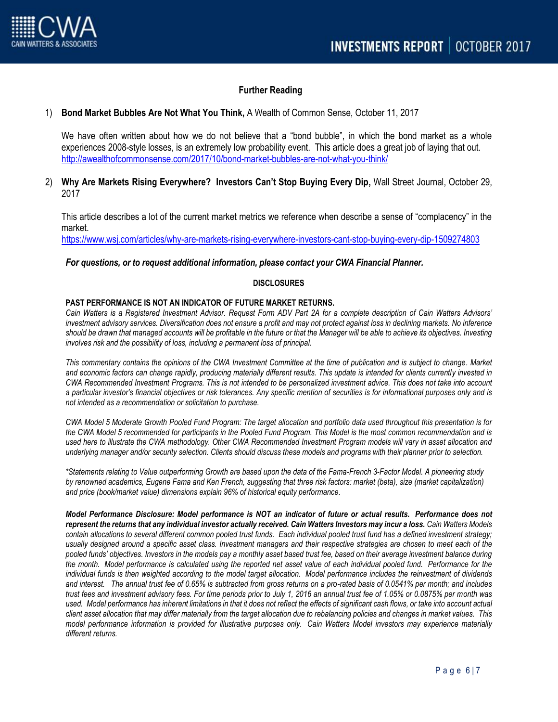

## **Further Reading**

#### 1) **Bond Market Bubbles Are Not What You Think,** A Wealth of Common Sense, October 11, 2017

We have often written about how we do not believe that a "bond bubble", in which the bond market as a whole experiences 2008-style losses, is an extremely low probability event. This article does a great job of laying that out. <http://awealthofcommonsense.com/2017/10/bond-market-bubbles-are-not-what-you-think/>

## 2) **Why Are Markets Rising Everywhere? Investors Can't Stop Buying Every Dip,** Wall Street Journal, October 29, 2017

This article describes a lot of the current market metrics we reference when describe a sense of "complacency" in the market.

<https://www.wsj.com/articles/why-are-markets-rising-everywhere-investors-cant-stop-buying-every-dip-1509274803>

#### *For questions, or to request additional information, please contact your CWA Financial Planner.*

#### **DISCLOSURES**

#### **PAST PERFORMANCE IS NOT AN INDICATOR OF FUTURE MARKET RETURNS.**

*Cain Watters is a Registered Investment Advisor. Request Form ADV Part 2A for a complete description of Cain Watters Advisors' investment advisory services. Diversification does not ensure a profit and may not protect against loss in declining markets. No inference should be drawn that managed accounts will be profitable in the future or that the Manager will be able to achieve its objectives. Investing involves risk and the possibility of loss, including a permanent loss of principal.*

*This commentary contains the opinions of the CWA Investment Committee at the time of publication and is subject to change. Market and economic factors can change rapidly, producing materially different results. This update is intended for clients currently invested in CWA Recommended Investment Programs. This is not intended to be personalized investment advice. This does not take into account a particular investor's financial objectives or risk tolerances. Any specific mention of securities is for informational purposes only and is not intended as a recommendation or solicitation to purchase.*

*CWA Model 5 Moderate Growth Pooled Fund Program: The target allocation and portfolio data used throughout this presentation is for the CWA Model 5 recommended for participants in the Pooled Fund Program. This Model is the most common recommendation and is used here to illustrate the CWA methodology. Other CWA Recommended Investment Program models will vary in asset allocation and underlying manager and/or security selection. Clients should discuss these models and programs with their planner prior to selection.*

*\*Statements relating to Value outperforming Growth are based upon the data of the Fama-French 3-Factor Model. A pioneering study by renowned academics, Eugene Fama and Ken French, suggesting that three risk factors: market (beta), size (market capitalization) and price (book/market value) dimensions explain 96% of historical equity performance.*

*Model Performance Disclosure: Model performance is NOT an indicator of future or actual results. Performance does not represent the returns that any individual investor actually received. Cain Watters Investors may incur a loss. Cain Watters Models contain allocations to several different common pooled trust funds. Each individual pooled trust fund has a defined investment strategy; usually designed around a specific asset class. Investment managers and their respective strategies are chosen to meet each of the pooled funds' objectives. Investors in the models pay a monthly asset based trust fee, based on their average investment balance during the month. Model performance is calculated using the reported net asset value of each individual pooled fund. Performance for the individual funds is then weighted according to the model target allocation. Model performance includes the reinvestment of dividends and interest. The annual trust fee of 0.65% is subtracted from gross returns on a pro-rated basis of 0.0541% per month; and includes trust fees and investment advisory fees. For time periods prior to July 1, 2016 an annual trust fee of 1.05% or 0.0875% per month was used. Model performance has inherent limitations in that it does not reflect the effects of significant cash flows, or take into account actual client asset allocation that may differ materially from the target allocation due to rebalancing policies and changes in market values. This model performance information is provided for illustrative purposes only. Cain Watters Model investors may experience materially different returns.*